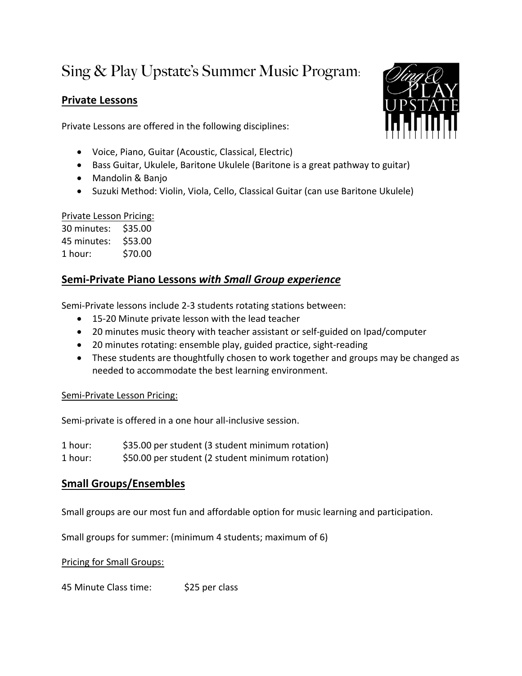# Sing & Play Upstate's Summer Music Program:

## **Private Lessons**

Private Lessons are offered in the following disciplines:

- Voice, Piano, Guitar (Acoustic, Classical, Electric)
- Bass Guitar, Ukulele, Baritone Ukulele (Baritone is a great pathway to guitar)
- Mandolin & Banjo
- Suzuki Method: Violin, Viola, Cello, Classical Guitar (can use Baritone Ukulele)

Private Lesson Pricing: 30 minutes: \$35.00 45 minutes: \$53.00 1 hour: \$70.00

## **Semi-Private Piano Lessons** *with Small Group experience*

Semi-Private lessons include 2-3 students rotating stations between:

- 15-20 Minute private lesson with the lead teacher
- 20 minutes music theory with teacher assistant or self-guided on Ipad/computer
- 20 minutes rotating: ensemble play, guided practice, sight-reading
- These students are thoughtfully chosen to work together and groups may be changed as needed to accommodate the best learning environment.

## Semi-Private Lesson Pricing:

Semi-private is offered in a one hour all-inclusive session.

1 hour: \$35.00 per student (3 student minimum rotation)

1 hour: \$50.00 per student (2 student minimum rotation)

## **Small Groups/Ensembles**

Small groups are our most fun and affordable option for music learning and participation.

Small groups for summer: (minimum 4 students; maximum of 6)

Pricing for Small Groups:

45 Minute Class time: \$25 per class

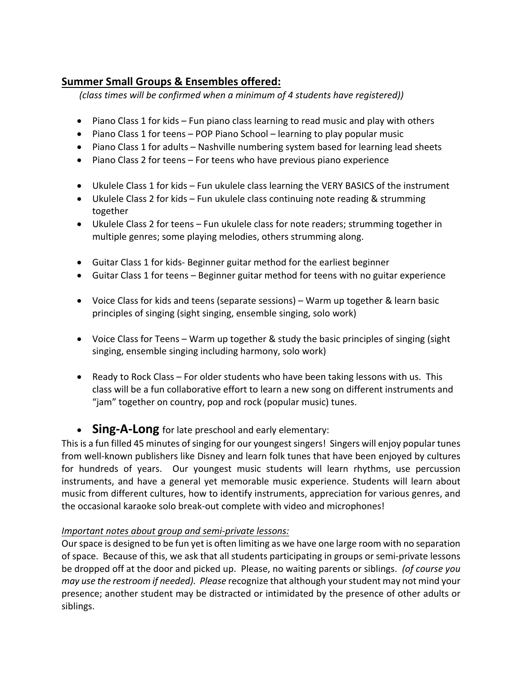## **Summer Small Groups & Ensembles offered:**

*(class times will be confirmed when a minimum of 4 students have registered))*

- Piano Class 1 for kids Fun piano class learning to read music and play with others
- Piano Class 1 for teens POP Piano School learning to play popular music
- Piano Class 1 for adults Nashville numbering system based for learning lead sheets
- Piano Class 2 for teens For teens who have previous piano experience
- Ukulele Class 1 for kids Fun ukulele class learning the VERY BASICS of the instrument
- Ukulele Class 2 for kids Fun ukulele class continuing note reading & strumming together
- Ukulele Class 2 for teens Fun ukulele class for note readers; strumming together in multiple genres; some playing melodies, others strumming along.
- Guitar Class 1 for kids- Beginner guitar method for the earliest beginner
- Guitar Class 1 for teens Beginner guitar method for teens with no guitar experience
- Voice Class for kids and teens (separate sessions) Warm up together & learn basic principles of singing (sight singing, ensemble singing, solo work)
- Voice Class for Teens Warm up together & study the basic principles of singing (sight singing, ensemble singing including harmony, solo work)
- Ready to Rock Class For older students who have been taking lessons with us. This class will be a fun collaborative effort to learn a new song on different instruments and "jam" together on country, pop and rock (popular music) tunes.

## • **Sing-A-Long** for late preschool and early elementary:

This is a fun filled 45 minutes of singing for our youngest singers! Singers will enjoy popular tunes from well-known publishers like Disney and learn folk tunes that have been enjoyed by cultures for hundreds of years. Our youngest music students will learn rhythms, use percussion instruments, and have a general yet memorable music experience. Students will learn about music from different cultures, how to identify instruments, appreciation for various genres, and the occasional karaoke solo break-out complete with video and microphones!

## *Important notes about group and semi-private lessons:*

Our space is designed to be fun yet is often limiting as we have one large room with no separation of space. Because of this, we ask that all students participating in groups or semi-private lessons be dropped off at the door and picked up. Please, no waiting parents or siblings. *(of course you may use the restroom if needed). Please* recognize that although your student may not mind your presence; another student may be distracted or intimidated by the presence of other adults or siblings.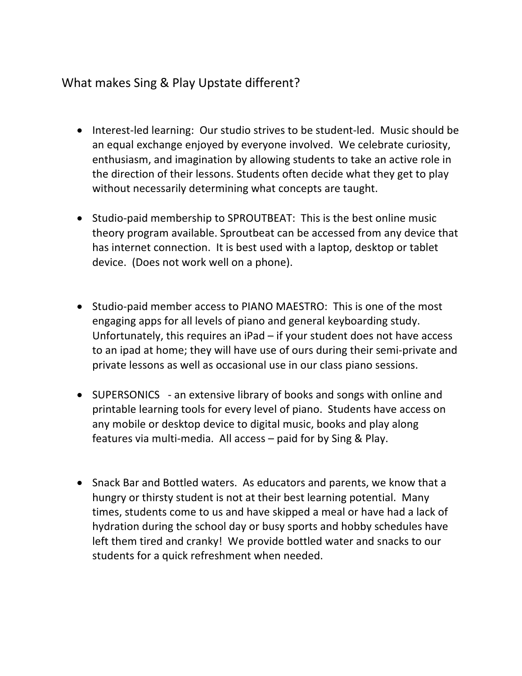## What makes Sing & Play Upstate different?

- Interest-led learning: Our studio strives to be student-led. Music should be an equal exchange enjoyed by everyone involved. We celebrate curiosity, enthusiasm, and imagination by allowing students to take an active role in the direction of their lessons. Students often decide what they get to play without necessarily determining what concepts are taught.
- Studio-paid membership to SPROUTBEAT: This is the best online music theory program available. Sproutbeat can be accessed from any device that has internet connection. It is best used with a laptop, desktop or tablet device. (Does not work well on a phone).
- Studio-paid member access to PIANO MAESTRO: This is one of the most engaging apps for all levels of piano and general keyboarding study. Unfortunately, this requires an iPad – if your student does not have access to an ipad at home; they will have use of ours during their semi-private and private lessons as well as occasional use in our class piano sessions.
- SUPERSONICS an extensive library of books and songs with online and printable learning tools for every level of piano. Students have access on any mobile or desktop device to digital music, books and play along features via multi-media. All access – paid for by Sing & Play.
- Snack Bar and Bottled waters. As educators and parents, we know that a hungry or thirsty student is not at their best learning potential. Many times, students come to us and have skipped a meal or have had a lack of hydration during the school day or busy sports and hobby schedules have left them tired and cranky! We provide bottled water and snacks to our students for a quick refreshment when needed.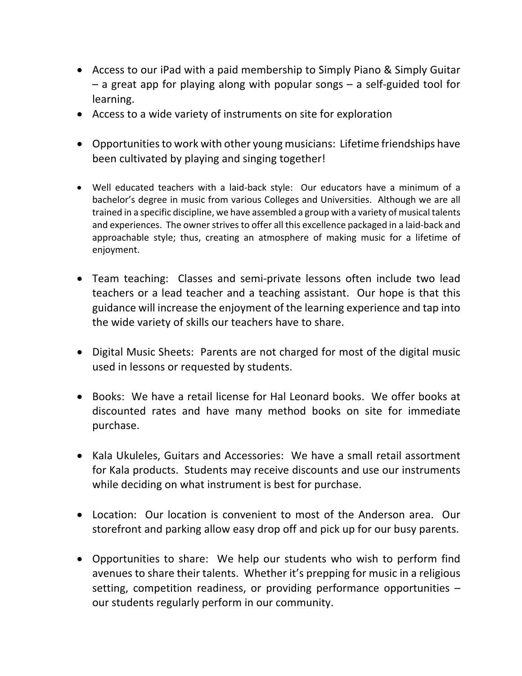- Access to our iPad with a paid membership to Simply Piano & Simply Guitar – a great app for playing along with popular songs – a self-guided tool for learning.
- Access to a wide variety of instruments on site for exploration
- Opportunities to work with other young musicians: Lifetime friendships have been cultivated by playing and singing together!
- Well educated teachers with a laid-back style: Our educators have a minimum of a bachelor's degree in music from various Colleges and Universities. Although we are all trained in a specific discipline, we have assembled a group with a variety of musical talents and experiences. The owner strives to offer all this excellence packaged in a laid-back and approachable style; thus, creating an atmosphere of making music for a lifetime of enjoyment.
- Team teaching: Classes and semi-private lessons often include two lead teachers or a lead teacher and a teaching assistant. Our hope is that this guidance will increase the enjoyment of the learning experience and tap into the wide variety of skills our teachers have to share.
- Digital Music Sheets: Parents are not charged for most of the digital music used in lessons or requested by students.
- Books: We have a retail license for Hal Leonard books. We offer books at discounted rates and have many method books on site for immediate purchase.
- Kala Ukuleles, Guitars and Accessories: We have a small retail assortment for Kala products. Students may receive discounts and use our instruments while deciding on what instrument is best for purchase.
- Location: Our location is convenient to most of the Anderson area. Our storefront and parking allow easy drop off and pick up for our busy parents.
- Opportunities to share: We help our students who wish to perform find avenues to share their talents. Whether it's prepping for music in a religious setting, competition readiness, or providing performance opportunities – our students regularly perform in our community.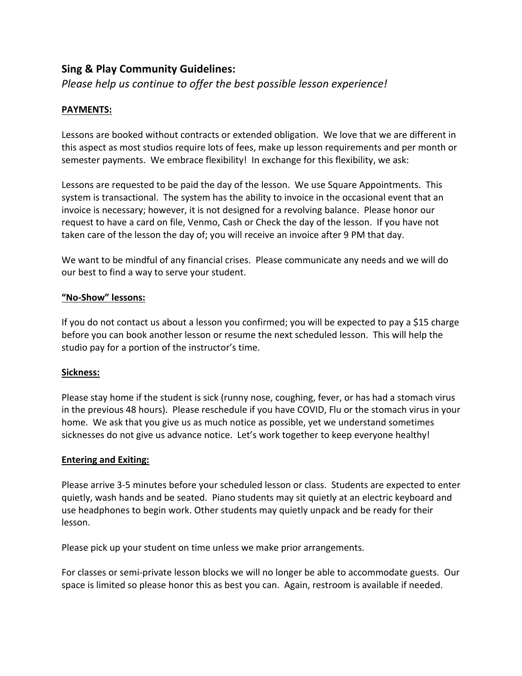## **Sing & Play Community Guidelines:**

*Please help us continue to offer the best possible lesson experience!*

## **PAYMENTS:**

Lessons are booked without contracts or extended obligation. We love that we are different in this aspect as most studios require lots of fees, make up lesson requirements and per month or semester payments. We embrace flexibility! In exchange for this flexibility, we ask:

Lessons are requested to be paid the day of the lesson. We use Square Appointments. This system is transactional. The system has the ability to invoice in the occasional event that an invoice is necessary; however, it is not designed for a revolving balance. Please honor our request to have a card on file, Venmo, Cash or Check the day of the lesson. If you have not taken care of the lesson the day of; you will receive an invoice after 9 PM that day.

We want to be mindful of any financial crises. Please communicate any needs and we will do our best to find a way to serve your student.

#### **"No-Show" lessons:**

If you do not contact us about a lesson you confirmed; you will be expected to pay a \$15 charge before you can book another lesson or resume the next scheduled lesson. This will help the studio pay for a portion of the instructor's time.

#### **Sickness:**

Please stay home if the student is sick (runny nose, coughing, fever, or has had a stomach virus in the previous 48 hours). Please reschedule if you have COVID, Flu or the stomach virus in your home. We ask that you give us as much notice as possible, yet we understand sometimes sicknesses do not give us advance notice. Let's work together to keep everyone healthy!

#### **Entering and Exiting:**

Please arrive 3-5 minutes before your scheduled lesson or class. Students are expected to enter quietly, wash hands and be seated. Piano students may sit quietly at an electric keyboard and use headphones to begin work. Other students may quietly unpack and be ready for their lesson.

Please pick up your student on time unless we make prior arrangements.

For classes or semi-private lesson blocks we will no longer be able to accommodate guests. Our space is limited so please honor this as best you can. Again, restroom is available if needed.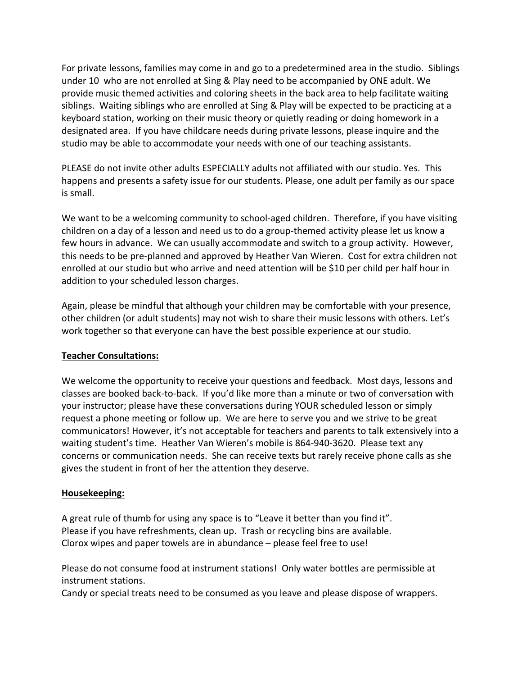For private lessons, families may come in and go to a predetermined area in the studio. Siblings under 10 who are not enrolled at Sing & Play need to be accompanied by ONE adult. We provide music themed activities and coloring sheets in the back area to help facilitate waiting siblings. Waiting siblings who are enrolled at Sing & Play will be expected to be practicing at a keyboard station, working on their music theory or quietly reading or doing homework in a designated area. If you have childcare needs during private lessons, please inquire and the studio may be able to accommodate your needs with one of our teaching assistants.

PLEASE do not invite other adults ESPECIALLY adults not affiliated with our studio. Yes. This happens and presents a safety issue for our students. Please, one adult per family as our space is small.

We want to be a welcoming community to school-aged children. Therefore, if you have visiting children on a day of a lesson and need us to do a group-themed activity please let us know a few hours in advance. We can usually accommodate and switch to a group activity. However, this needs to be pre-planned and approved by Heather Van Wieren. Cost for extra children not enrolled at our studio but who arrive and need attention will be \$10 per child per half hour in addition to your scheduled lesson charges.

Again, please be mindful that although your children may be comfortable with your presence, other children (or adult students) may not wish to share their music lessons with others. Let's work together so that everyone can have the best possible experience at our studio.

## **Teacher Consultations:**

We welcome the opportunity to receive your questions and feedback. Most days, lessons and classes are booked back-to-back. If you'd like more than a minute or two of conversation with your instructor; please have these conversations during YOUR scheduled lesson or simply request a phone meeting or follow up. We are here to serve you and we strive to be great communicators! However, it's not acceptable for teachers and parents to talk extensively into a waiting student's time. Heather Van Wieren's mobile is 864-940-3620. Please text any concerns or communication needs. She can receive texts but rarely receive phone calls as she gives the student in front of her the attention they deserve.

## **Housekeeping:**

A great rule of thumb for using any space is to "Leave it better than you find it". Please if you have refreshments, clean up. Trash or recycling bins are available. Clorox wipes and paper towels are in abundance – please feel free to use!

Please do not consume food at instrument stations! Only water bottles are permissible at instrument stations.

Candy or special treats need to be consumed as you leave and please dispose of wrappers.